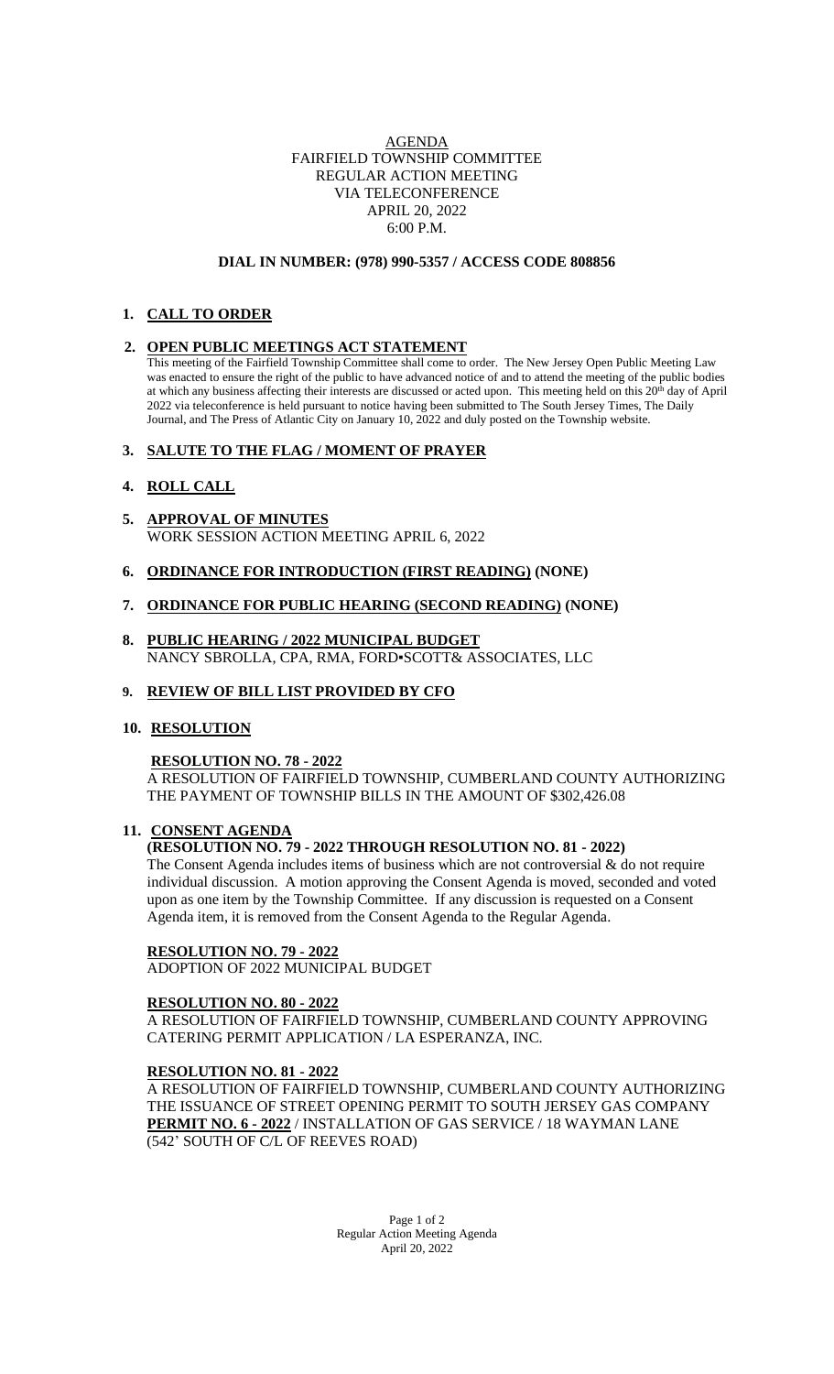### AGENDA FAIRFIELD TOWNSHIP COMMITTEE REGULAR ACTION MEETING VIA TELECONFERENCE APRIL 20, 2022 6:00 P.M.

#### **DIAL IN NUMBER: (978) 990-5357 / ACCESS CODE 808856**

# **1. CALL TO ORDER**

### **2. OPEN PUBLIC MEETINGS ACT STATEMENT**

This meeting of the Fairfield Township Committee shall come to order. The New Jersey Open Public Meeting Law was enacted to ensure the right of the public to have advanced notice of and to attend the meeting of the public bodies at which any business affecting their interests are discussed or acted upon. This meeting held on this  $20<sup>th</sup>$  day of April 2022 via teleconference is held pursuant to notice having been submitted to The South Jersey Times, The Daily Journal, and The Press of Atlantic City on January 10, 2022 and duly posted on the Township website.

# **3. SALUTE TO THE FLAG / MOMENT OF PRAYER**

# **4. ROLL CALL**

- **5. APPROVAL OF MINUTES** WORK SESSION ACTION MEETING APRIL 6, 2022
- **6. ORDINANCE FOR INTRODUCTION (FIRST READING) (NONE)**

# **7. ORDINANCE FOR PUBLIC HEARING (SECOND READING) (NONE)**

**8. PUBLIC HEARING / 2022 MUNICIPAL BUDGET** NANCY SBROLLA, CPA, RMA, FORD▪SCOTT& ASSOCIATES, LLC

# **9. REVIEW OF BILL LIST PROVIDED BY CFO**

#### **10. RESOLUTION**

#### **RESOLUTION NO. 78 - 2022**

A RESOLUTION OF FAIRFIELD TOWNSHIP, CUMBERLAND COUNTY AUTHORIZING THE PAYMENT OF TOWNSHIP BILLS IN THE AMOUNT OF \$302,426.08

#### **11. CONSENT AGENDA (RESOLUTION NO. 79 - 2022 THROUGH RESOLUTION NO. 81 - 2022)**

The Consent Agenda includes items of business which are not controversial  $\&$  do not require individual discussion. A motion approving the Consent Agenda is moved, seconded and voted upon as one item by the Township Committee. If any discussion is requested on a Consent Agenda item, it is removed from the Consent Agenda to the Regular Agenda.

#### **RESOLUTION NO. 79 - 2022**

ADOPTION OF 2022 MUNICIPAL BUDGET

#### **RESOLUTION NO. 80 - 2022**

A RESOLUTION OF FAIRFIELD TOWNSHIP, CUMBERLAND COUNTY APPROVING CATERING PERMIT APPLICATION / LA ESPERANZA, INC.

#### **RESOLUTION NO. 81 - 2022**

A RESOLUTION OF FAIRFIELD TOWNSHIP, CUMBERLAND COUNTY AUTHORIZING THE ISSUANCE OF STREET OPENING PERMIT TO SOUTH JERSEY GAS COMPANY **PERMIT NO. 6 - 2022** / INSTALLATION OF GAS SERVICE / 18 WAYMAN LANE (542' SOUTH OF C/L OF REEVES ROAD)

> Page 1 of 2 Regular Action Meeting Agenda April 20, 2022